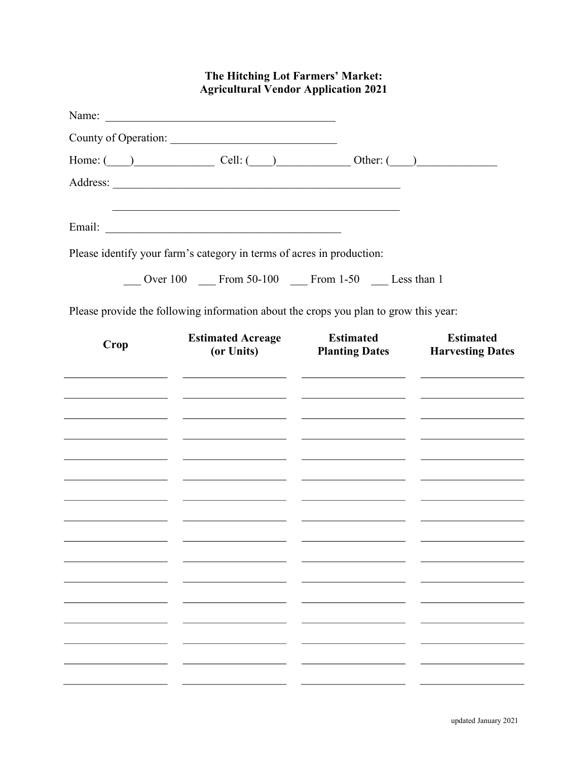| The Hitching Lot Farmers' Market:<br><b>Agricultural Vendor Application 2021</b> |                                                                                 |                                                                                                                                                                                                                                                                                                                                                                                                                                                                                                                                                                                                                                                                                                                                                                                                                                                                                                                                        |  |  |
|----------------------------------------------------------------------------------|---------------------------------------------------------------------------------|----------------------------------------------------------------------------------------------------------------------------------------------------------------------------------------------------------------------------------------------------------------------------------------------------------------------------------------------------------------------------------------------------------------------------------------------------------------------------------------------------------------------------------------------------------------------------------------------------------------------------------------------------------------------------------------------------------------------------------------------------------------------------------------------------------------------------------------------------------------------------------------------------------------------------------------|--|--|
|                                                                                  |                                                                                 |                                                                                                                                                                                                                                                                                                                                                                                                                                                                                                                                                                                                                                                                                                                                                                                                                                                                                                                                        |  |  |
|                                                                                  |                                                                                 |                                                                                                                                                                                                                                                                                                                                                                                                                                                                                                                                                                                                                                                                                                                                                                                                                                                                                                                                        |  |  |
|                                                                                  |                                                                                 |                                                                                                                                                                                                                                                                                                                                                                                                                                                                                                                                                                                                                                                                                                                                                                                                                                                                                                                                        |  |  |
|                                                                                  |                                                                                 |                                                                                                                                                                                                                                                                                                                                                                                                                                                                                                                                                                                                                                                                                                                                                                                                                                                                                                                                        |  |  |
|                                                                                  |                                                                                 |                                                                                                                                                                                                                                                                                                                                                                                                                                                                                                                                                                                                                                                                                                                                                                                                                                                                                                                                        |  |  |
|                                                                                  |                                                                                 |                                                                                                                                                                                                                                                                                                                                                                                                                                                                                                                                                                                                                                                                                                                                                                                                                                                                                                                                        |  |  |
|                                                                                  |                                                                                 |                                                                                                                                                                                                                                                                                                                                                                                                                                                                                                                                                                                                                                                                                                                                                                                                                                                                                                                                        |  |  |
|                                                                                  |                                                                                 |                                                                                                                                                                                                                                                                                                                                                                                                                                                                                                                                                                                                                                                                                                                                                                                                                                                                                                                                        |  |  |
|                                                                                  |                                                                                 |                                                                                                                                                                                                                                                                                                                                                                                                                                                                                                                                                                                                                                                                                                                                                                                                                                                                                                                                        |  |  |
|                                                                                  |                                                                                 |                                                                                                                                                                                                                                                                                                                                                                                                                                                                                                                                                                                                                                                                                                                                                                                                                                                                                                                                        |  |  |
| (or Units)                                                                       |                                                                                 | <b>Estimated</b><br><b>Planting Dates Harvesting Dates</b>                                                                                                                                                                                                                                                                                                                                                                                                                                                                                                                                                                                                                                                                                                                                                                                                                                                                             |  |  |
|                                                                                  |                                                                                 |                                                                                                                                                                                                                                                                                                                                                                                                                                                                                                                                                                                                                                                                                                                                                                                                                                                                                                                                        |  |  |
|                                                                                  |                                                                                 |                                                                                                                                                                                                                                                                                                                                                                                                                                                                                                                                                                                                                                                                                                                                                                                                                                                                                                                                        |  |  |
|                                                                                  |                                                                                 |                                                                                                                                                                                                                                                                                                                                                                                                                                                                                                                                                                                                                                                                                                                                                                                                                                                                                                                                        |  |  |
| the control of the control of the control of                                     |                                                                                 |                                                                                                                                                                                                                                                                                                                                                                                                                                                                                                                                                                                                                                                                                                                                                                                                                                                                                                                                        |  |  |
|                                                                                  |                                                                                 | <u> 1980 - John Harry Harry Harry Harry Harry Harry Harry Harry Harry Harry Harry Harry Harry Harry Harry Harry H</u>                                                                                                                                                                                                                                                                                                                                                                                                                                                                                                                                                                                                                                                                                                                                                                                                                  |  |  |
|                                                                                  |                                                                                 |                                                                                                                                                                                                                                                                                                                                                                                                                                                                                                                                                                                                                                                                                                                                                                                                                                                                                                                                        |  |  |
|                                                                                  |                                                                                 |                                                                                                                                                                                                                                                                                                                                                                                                                                                                                                                                                                                                                                                                                                                                                                                                                                                                                                                                        |  |  |
|                                                                                  |                                                                                 |                                                                                                                                                                                                                                                                                                                                                                                                                                                                                                                                                                                                                                                                                                                                                                                                                                                                                                                                        |  |  |
|                                                                                  |                                                                                 |                                                                                                                                                                                                                                                                                                                                                                                                                                                                                                                                                                                                                                                                                                                                                                                                                                                                                                                                        |  |  |
|                                                                                  |                                                                                 |                                                                                                                                                                                                                                                                                                                                                                                                                                                                                                                                                                                                                                                                                                                                                                                                                                                                                                                                        |  |  |
|                                                                                  |                                                                                 |                                                                                                                                                                                                                                                                                                                                                                                                                                                                                                                                                                                                                                                                                                                                                                                                                                                                                                                                        |  |  |
|                                                                                  |                                                                                 |                                                                                                                                                                                                                                                                                                                                                                                                                                                                                                                                                                                                                                                                                                                                                                                                                                                                                                                                        |  |  |
|                                                                                  |                                                                                 |                                                                                                                                                                                                                                                                                                                                                                                                                                                                                                                                                                                                                                                                                                                                                                                                                                                                                                                                        |  |  |
|                                                                                  |                                                                                 |                                                                                                                                                                                                                                                                                                                                                                                                                                                                                                                                                                                                                                                                                                                                                                                                                                                                                                                                        |  |  |
|                                                                                  | <b>Estimated Acreage</b><br>the control of the control of the control of<br>___ | Name:<br>County of Operation:<br>Home: $\qquad \qquad$ Cell: $\qquad \qquad$ Cell: $\qquad \qquad$ Other: $\qquad \qquad$<br>Please identify your farm's category in terms of acres in production:<br>Over 100 From 50-100 From 1-50 Less than 1<br>Please provide the following information about the crops you plan to grow this year:<br><b>Estimated</b><br><u> 1990 - Jan James James, martin amerikan (h. 1980).</u><br><u> 1990 - Jan James James, politik fizikar (h. 1980).</u><br><u> 1990 - Jan James James Barnett, mars et al. (f. 1980).</u><br><u> 1999 - Johann Harry Harry Harry Harry Harry Harry Harry Harry Harry Harry Harry Harry Harry Harry Harry Harry H</u><br><u> 1990 - John Stein, fransk konstantiner (* 1900)</u><br><u> 1980 - John Stein, Amerikaansk politiker (</u> † 19<br><u> Alexander and Alexander and Alexander and Alexander and Alexander and Alexander and Alexander and Alexander and</u> |  |  |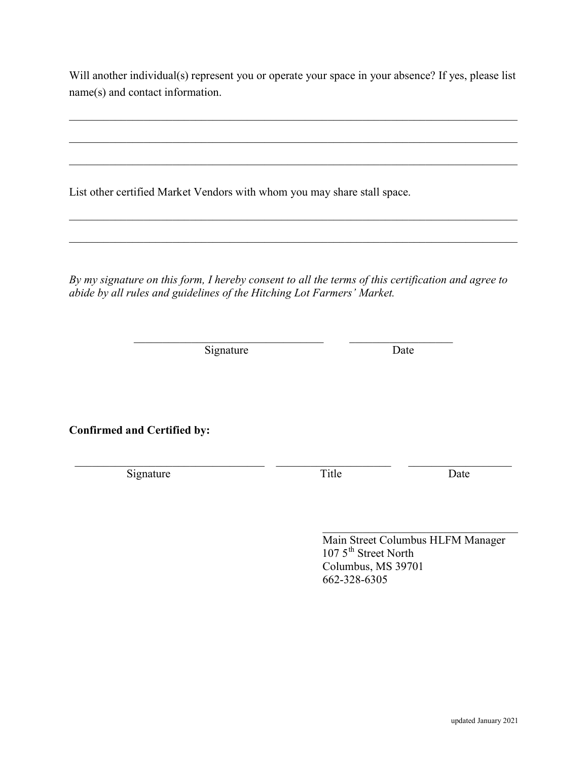Will another individual(s) represent you or operate your space in your absence? If yes, please list name(s) and contact information.

 $\mathcal{L}_\mathcal{L} = \mathcal{L}_\mathcal{L} = \mathcal{L}_\mathcal{L} = \mathcal{L}_\mathcal{L} = \mathcal{L}_\mathcal{L} = \mathcal{L}_\mathcal{L} = \mathcal{L}_\mathcal{L} = \mathcal{L}_\mathcal{L} = \mathcal{L}_\mathcal{L} = \mathcal{L}_\mathcal{L} = \mathcal{L}_\mathcal{L} = \mathcal{L}_\mathcal{L} = \mathcal{L}_\mathcal{L} = \mathcal{L}_\mathcal{L} = \mathcal{L}_\mathcal{L} = \mathcal{L}_\mathcal{L} = \mathcal{L}_\mathcal{L}$ 

List other certified Market Vendors with whom you may share stall space.

By my signature on this form, I hereby consent to all the terms of this certification and agree to abide by all rules and guidelines of the Hitching Lot Farmers' Market.

Signature Date

Confirmed and Certified by:

Signature Date Title Date

 Main Street Columbus HLFM Manager  $1075^{\text{th}}$  Street North Columbus, MS 39701 662-328-6305